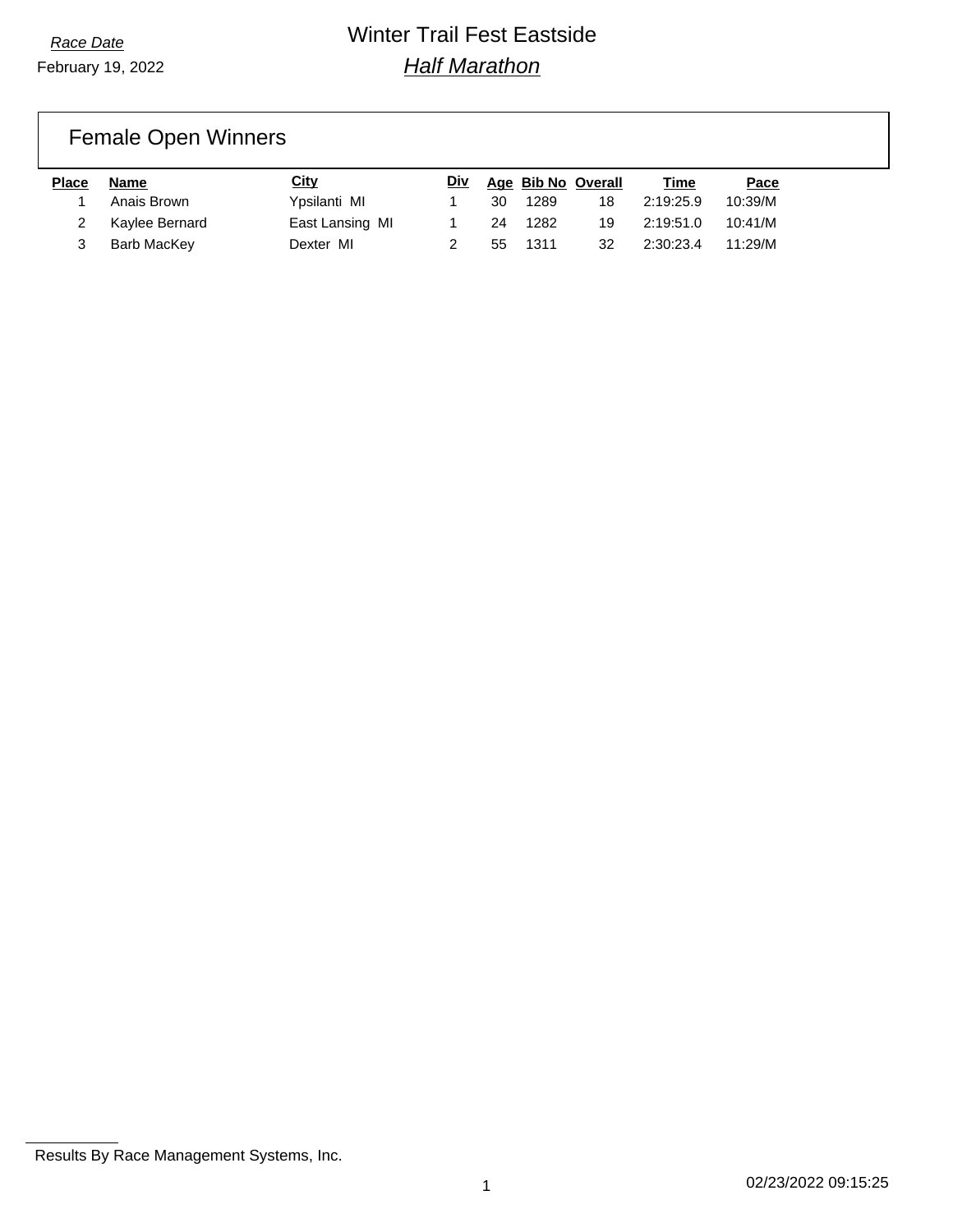## Female Open Winners

| Place | Name           | City            | Div |    | Age Bib No Overall |    | Time      | Pace    |
|-------|----------------|-----------------|-----|----|--------------------|----|-----------|---------|
|       | Anais Brown    | Ypsilanti MI    |     | 30 | 1289               | 18 | 2:19:25.9 | 10:39/M |
|       | Kaylee Bernard | East Lansing MI |     | 24 | 1282               | 19 | 2:19:51.0 | 10:41/M |
|       | Barb MacKey    | Dexter MI       |     | 55 | 1311               | 32 | 2:30:23.4 | 11:29/M |

Results By Race Management Systems, Inc.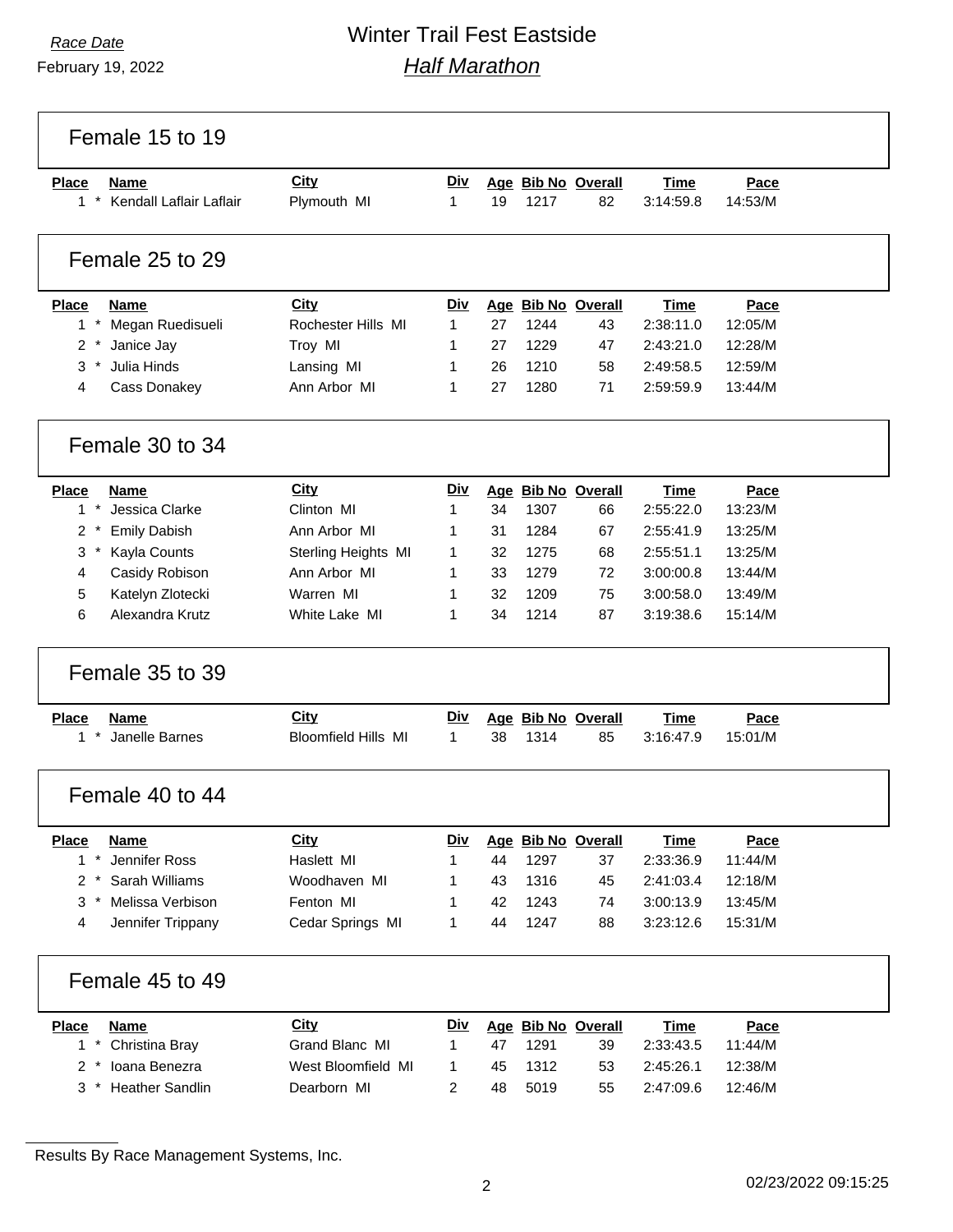February 19, 2022

## *Race Date* Winter Trail Fest Eastside *Half Marathon*

Female 15 to 19 **Place Name City Div Age Bib No Overall Time Pace** \* Kendall Laflair Laflair Plymouth MI 1 19 1217 82 3:14:59.8 14:53/M Female 25 to 29 **Place Name City Div Age Bib No Overall Time Pace** \* Megan Ruedisueli Rochester Hills MI 1 27 1244 43 2:38:11.0 12:05/M \* Janice Jay Troy MI 1 27 1229 47 2:43:21.0 12:28/M \* Julia Hinds Lansing MI 1 26 1210 58 2:49:58.5 12:59/M Cass Donakey Ann Arbor MI 1 27 1280 71 2:59:59.9 13:44/M Female 30 to 34 **Place Name City Div Age Bib No Overall Time Pace** \* Jessica Clarke Clinton MI 1 34 1307 66 2:55:22.0 13:23/M \* Emily Dabish Ann Arbor MI 1 31 1284 67 2:55:41.9 13:25/M \* Kayla Counts Sterling Heights MI 1 32 1275 68 2:55:51.1 13:25/M Casidy Robison Ann Arbor MI 1 33 1279 72 3:00:00.8 13:44/M Katelyn Zlotecki Warren MI 1 32 1209 75 3:00:58.0 13:49/M Alexandra Krutz White Lake MI 1 34 1214 87 3:19:38.6 15:14/M Female 35 to 39 **Place Name City Div Age Bib No Overall Time Pace** \* Janelle Barnes Bloomfield Hills MI 1 38 1314 85 3:16:47.9 15:01/M Female 40 to 44 **Place Name City Div Age Bib No Overall Time Pace** \* Jennifer Ross Haslett MI 1 44 1297 37 2:33:36.9 11:44/M \* Sarah Williams Woodhaven MI 1 43 1316 45 2:41:03.4 12:18/M \* Melissa Verbison Fenton MI 1 42 1243 74 3:00:13.9 13:45/M Jennifer Trippany Cedar Springs MI 1 44 1247 88 3:23:12.6 15:31/M Female 45 to 49 **Place Name City Div Age Bib No Overall Time Pace** \* Christina Bray Grand Blanc MI 1 47 1291 39 2:33:43.5 11:44/M \* Ioana Benezra West Bloomfield MI 1 45 1312 53 2:45:26.1 12:38/M \* Heather Sandlin Dearborn MI 2 48 5019 55 2:47:09.6 12:46/M

Results By Race Management Systems, Inc.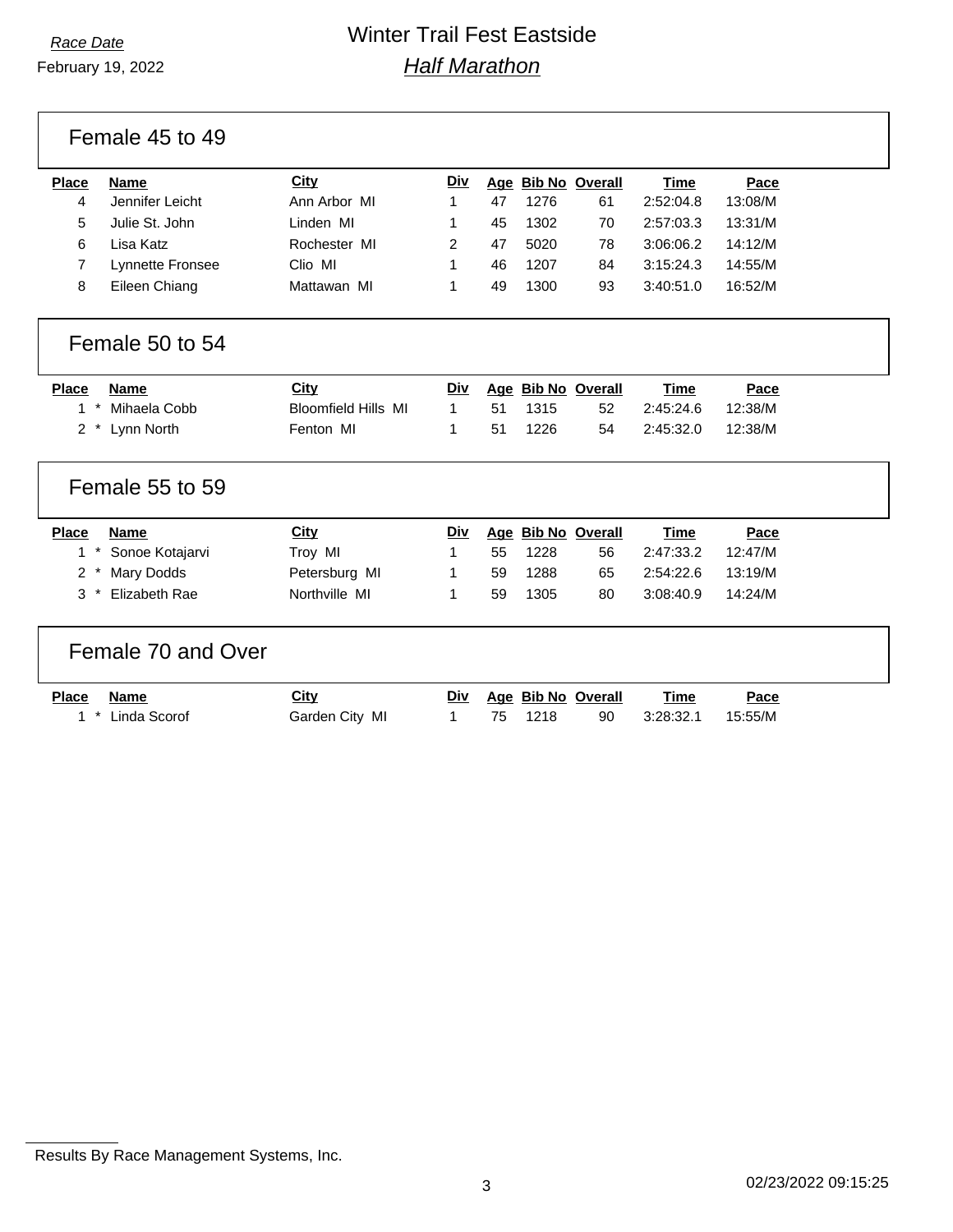February 19, 2022

Female 45 to 49

| Place | <b>Name</b>      | City         | <u>Div</u> |    | Age Bib No Overall |    | Time      | Pace    |
|-------|------------------|--------------|------------|----|--------------------|----|-----------|---------|
|       | Jennifer Leicht  | Ann Arbor MI |            | 47 | 1276               | 61 | 2:52:04.8 | 13:08/M |
| 5.    | Julie St. John   | Linden MI    |            | 45 | 1302               | 70 | 2:57:03.3 | 13:31/M |
| 6     | Lisa Katz        | Rochester MI |            | 47 | 5020               | 78 | 3:06:06.2 | 14:12/M |
|       | Lynnette Fronsee | Clio MI      |            | 46 | 1207               | 84 | 3:15:24.3 | 14:55/M |
|       | Eileen Chiang    | Mattawan MI  |            | 49 | 1300               | 93 | 3:40:51.0 | 16:52/M |
|       |                  |              |            |    |                    |    |           |         |

#### Female 50 to 54

| Place | Name             | <u>City</u>                | Div |    |         | Age Bib No Overall | <b>Time</b> | Pace    |
|-------|------------------|----------------------------|-----|----|---------|--------------------|-------------|---------|
|       | 1 * Mihaela Cobb | <b>Bloomfield Hills MI</b> |     |    | 51 1315 | -52                | 2:45:24.6   | 12:38/M |
|       | 2 * Lynn North   | Fenton MI                  |     | 51 | 1226    | 54                 | 2:45:32.0   | 12:38/M |

#### Female 55 to 59

| <b>Place</b> | Name                | City          | Div |    | Age Bib No Overall |    | Time      | Pace    |
|--------------|---------------------|---------------|-----|----|--------------------|----|-----------|---------|
|              | 1 * Sonoe Kotajarvi | Trov MI       |     | 55 | 1228               | 56 | 2:47:33.2 | 12:47/M |
|              | 2 * Mary Dodds      | Petersburg MI |     | 59 | 1288               | 65 | 2:54:22.6 | 13:19/M |
|              | 3 * Elizabeth Rae   | Northville MI |     | 59 | 1305               | 80 | 3:08:40.9 | 14:24/M |

### Female 70 and Over

| Place Name |                  | <u>City</u>    |  |         | Div Age Bib No Overall | Time      | Pace    |
|------------|------------------|----------------|--|---------|------------------------|-----------|---------|
|            | 1 * Linda Scorof | Garden City MI |  | 75 1218 | 90                     | 3:28:32.1 | 15:55/M |

Results By Race Management Systems, Inc.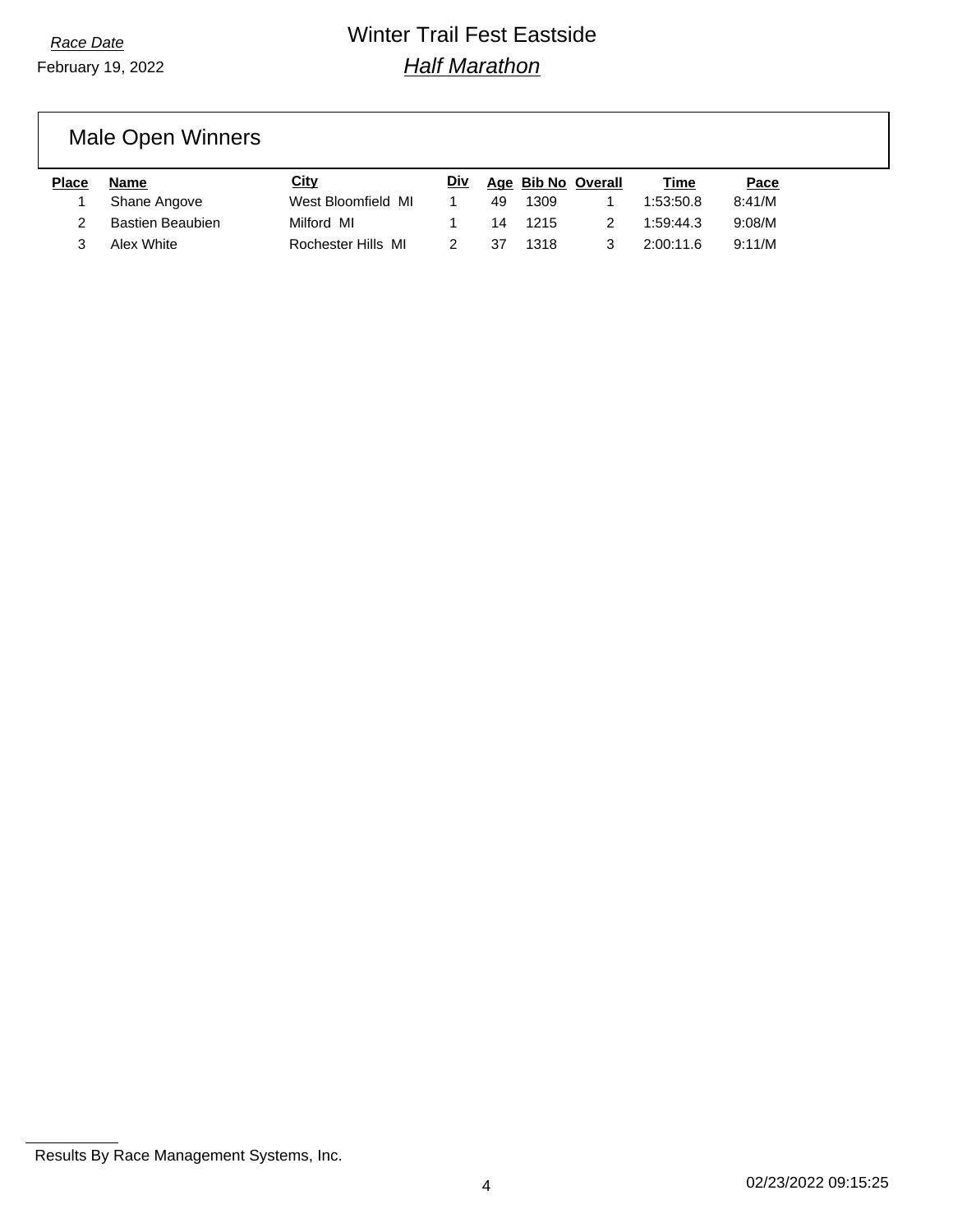# Male Open Winners

| Place | Name             | City               | Div |    |      | Age Bib No Overall | Time      | Pace   |
|-------|------------------|--------------------|-----|----|------|--------------------|-----------|--------|
|       | Shane Angove     | West Bloomfield MI |     | 49 | 1309 |                    | 1:53:50.8 | 8:41/M |
|       | Bastien Beaubien | Milford MI         |     | 14 | 1215 |                    | 1:59:44.3 | 9:08/M |
|       | Alex White       | Rochester Hills MI |     | 37 | 1318 |                    | 2:00:11.6 | 9:11/M |

Results By Race Management Systems, Inc.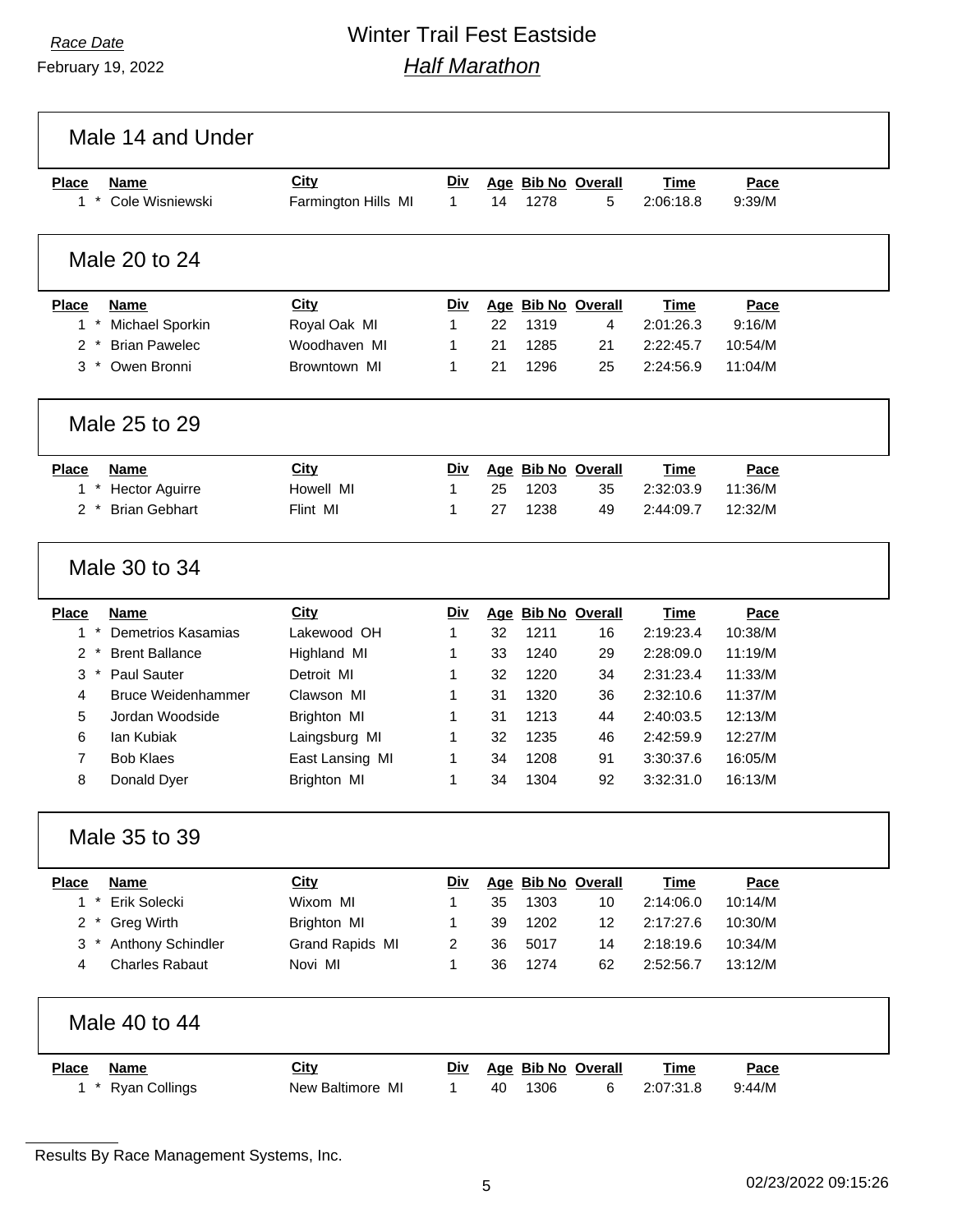February 19, 2022

# *Race Date* Winter Trail Fest Eastside *Half Marathon*

| <b>Place</b><br>$1$ * | <b>Name</b><br>Cole Wisniewski | City<br>Farmington Hills MI | <b>Div</b><br>$\mathbf{1}$ | 14 | 1278 | Age Bib No Overall<br>5 | Time<br>2:06:18.8 | Pace<br>9:39/M |
|-----------------------|--------------------------------|-----------------------------|----------------------------|----|------|-------------------------|-------------------|----------------|
|                       | Male 20 to 24                  |                             |                            |    |      |                         |                   |                |
| <b>Place</b>          | <b>Name</b>                    | <b>City</b>                 | Div                        |    |      | Age Bib No Overall      | Time              | Pace           |
| $1*$                  | Michael Sporkin                | Royal Oak MI                | 1                          | 22 | 1319 | 4                       | 2:01:26.3         | 9:16/M         |
| $2^*$                 | <b>Brian Pawelec</b>           | Woodhaven MI                | 1                          | 21 | 1285 | 21                      | 2:22:45.7         | 10:54/M        |
| $3$ *                 | Owen Bronni                    | Browntown MI                | 1                          | 21 | 1296 | 25                      | 2:24:56.9         | 11:04/M        |
|                       | Male 25 to 29                  |                             |                            |    |      |                         |                   |                |
| <b>Place</b>          | <b>Name</b>                    | City                        | Div                        |    |      | Age Bib No Overall      | <b>Time</b>       | Pace           |
| $1*$                  | <b>Hector Aguirre</b>          | Howell MI                   | $\mathbf{1}$               | 25 | 1203 | 35                      | 2:32:03.9         | 11:36/M        |
| $2 *$                 | <b>Brian Gebhart</b>           | Flint MI                    | 1                          | 27 | 1238 | 49                      | 2:44:09.7         | 12:32/M        |
|                       | Male 30 to 34                  |                             |                            |    |      |                         |                   |                |
| <b>Place</b>          | Name                           | City                        | Div                        |    |      | Age Bib No Overall      | <b>Time</b>       | Pace           |
| $1*$                  | Demetrios Kasamias             | Lakewood OH                 | $\mathbf{1}$               | 32 | 1211 | 16                      | 2:19:23.4         | 10:38/M        |
| $\overline{2}$        | <b>Brent Ballance</b>          | Highland MI                 | 1                          | 33 | 1240 | 29                      | 2:28:09.0         | 11:19/M        |
| $3 *$                 | <b>Paul Sauter</b>             | Detroit MI                  | 1                          | 32 | 1220 | 34                      | 2:31:23.4         | 11:33/M        |
| 4                     | <b>Bruce Weidenhammer</b>      | Clawson MI                  | 1                          | 31 | 1320 | 36                      | 2:32:10.6         | 11:37/M        |
| 5                     | Jordan Woodside                | Brighton MI                 | 1                          | 31 | 1213 | 44                      | 2:40:03.5         | 12:13/M        |
| 6                     | lan Kubiak                     | Laingsburg MI               | 1                          | 32 | 1235 | 46                      | 2:42:59.9         | 12:27/M        |
| 7                     | <b>Bob Klaes</b>               | East Lansing MI             | 1                          | 34 | 1208 | 91                      | 3:30:37.6         | 16:05/M        |
| 8                     | Donald Dyer                    | Brighton MI                 | 1                          | 34 | 1304 | 92                      | 3:32:31.0         | 16:13/M        |
|                       | Male 35 to 39                  |                             |                            |    |      |                         |                   |                |
| <b>Place</b>          | <b>Name</b>                    | <b>City</b>                 | <b>Div</b>                 |    |      | Age Bib No Overall      | <b>Time</b>       | Pace           |
| $1*$                  | Erik Solecki                   | Wixom MI                    | 1                          | 35 | 1303 | 10                      | 2:14:06.0         | 10:14/M        |
| $2^{\circ}$           | <b>Greg Wirth</b>              | Brighton MI                 | 1                          | 39 | 1202 | 12                      | 2:17:27.6         | 10:30/M        |
| $3*$                  | Anthony Schindler              | Grand Rapids MI             | 2                          | 36 | 5017 | 14                      | 2:18:19.6         | 10:34/M        |
| 4                     | <b>Charles Rabaut</b>          | Novi MI                     | 1                          | 36 | 1274 | 62                      | 2:52:56.7         | 13:12/M        |
|                       | Male 40 to 44                  |                             |                            |    |      |                         |                   |                |
|                       |                                |                             |                            |    |      |                         |                   |                |

Results By Race Management Systems, Inc.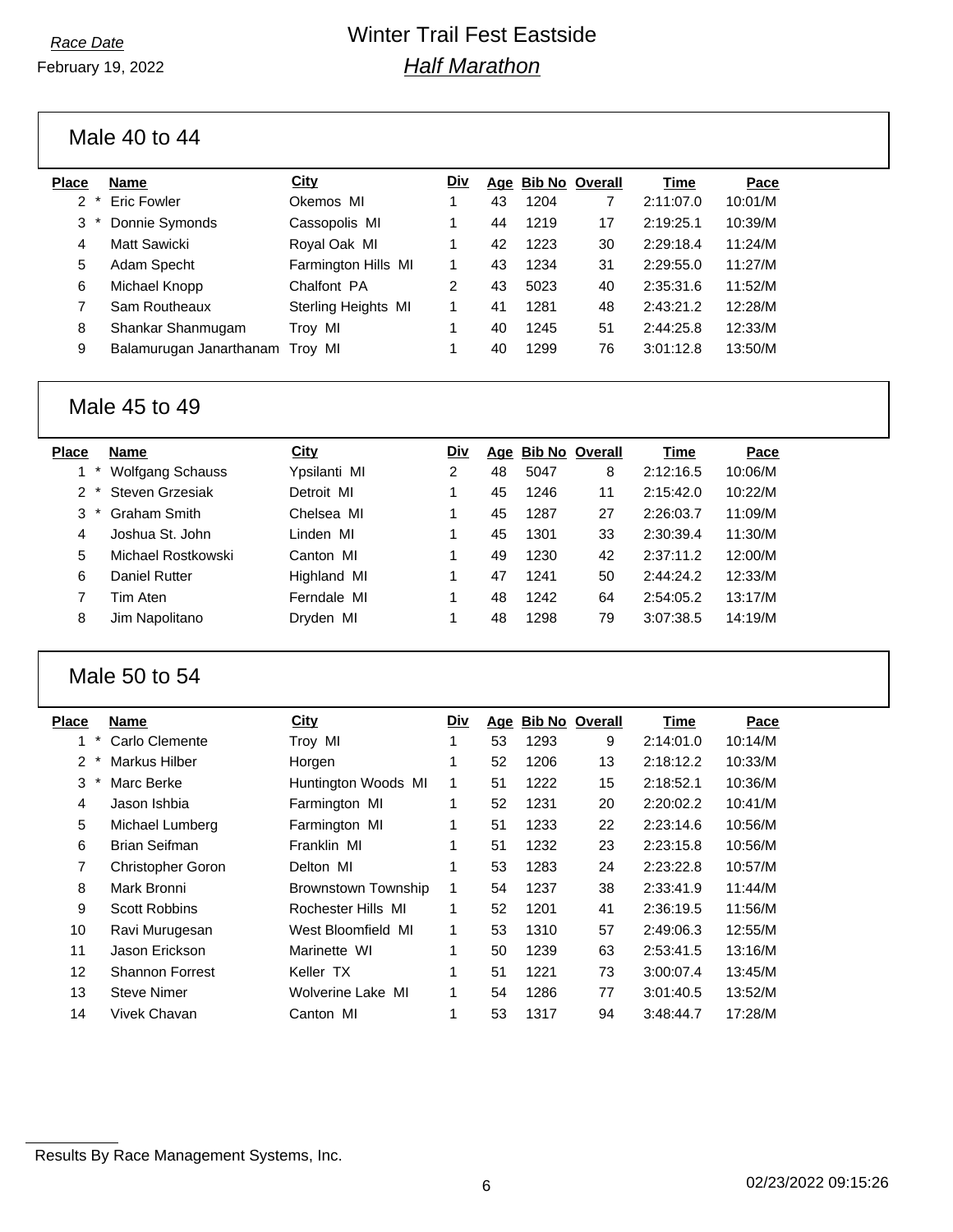February 19, 2022

## *Race Date* Winter Trail Fest Eastside *Half Marathon*

Male 40 to 44

| Place         | <b>Name</b>                     | City                | Div | Age | <b>Bib No Overall</b> |    | Time      | Pace    |
|---------------|---------------------------------|---------------------|-----|-----|-----------------------|----|-----------|---------|
| $\mathcal{P}$ | <b>Eric Fowler</b>              | Okemos MI           |     | 43  | 1204                  | 7  | 2:11:07.0 | 10:01/M |
| 3             | Donnie Symonds                  | Cassopolis MI       |     | 44  | 1219                  | 17 | 2:19:25.1 | 10:39/M |
| 4             | Matt Sawicki                    | Royal Oak MI        |     | 42  | 1223                  | 30 | 2:29:18.4 | 11:24/M |
| 5             | Adam Specht                     | Farmington Hills MI |     | 43  | 1234                  | 31 | 2:29:55.0 | 11:27/M |
| 6             | Michael Knopp                   | Chalfont PA         | 2   | 43  | 5023                  | 40 | 2:35:31.6 | 11:52/M |
|               | Sam Routheaux                   | Sterling Heights MI |     | 41  | 1281                  | 48 | 2:43:21.2 | 12:28/M |
| 8             | Shankar Shanmugam               | Troy MI             |     | 40  | 1245                  | 51 | 2:44:25.8 | 12:33/M |
| 9             | Balamurugan Janarthanam Troy MI |                     |     | 40  | 1299                  | 76 | 3:01:12.8 | 13:50/M |
|               |                                 |                     |     |     |                       |    |           |         |

#### Male 45 to 49

| Place | <b>Name</b>             | City         | Div |    |      | Age Bib No Overall | Time      | Pace    |
|-------|-------------------------|--------------|-----|----|------|--------------------|-----------|---------|
|       | <b>Wolfgang Schauss</b> | Ypsilanti MI | 2   | 48 | 5047 | 8                  | 2:12:16.5 | 10:06/M |
|       | Steven Grzesiak         | Detroit MI   | 1   | 45 | 1246 | 11                 | 2:15:42.0 | 10:22/M |
| 3     | <b>Graham Smith</b>     | Chelsea MI   | 1   | 45 | 1287 | 27                 | 2:26:03.7 | 11:09/M |
| 4     | Joshua St. John         | Linden MI    | 1   | 45 | 1301 | 33                 | 2:30:39.4 | 11:30/M |
| 5     | Michael Rostkowski      | Canton MI    |     | 49 | 1230 | 42                 | 2:37:11.2 | 12:00/M |
| 6     | Daniel Rutter           | Highland MI  |     | 47 | 1241 | 50                 | 2:44:24.2 | 12:33/M |
|       | Tim Aten                | Ferndale MI  |     | 48 | 1242 | 64                 | 2:54:05.2 | 13:17/M |
| 8     | Jim Napolitano          | Dryden MI    | 1   | 48 | 1298 | 79                 | 3:07:38.5 | 14:19/M |
|       |                         |              |     |    |      |                    |           |         |

### Male 50 to 54

| Place | <b>Name</b>              | <b>City</b>                | Div          |    |      | Age Bib No Overall | <b>Time</b> | Pace    |
|-------|--------------------------|----------------------------|--------------|----|------|--------------------|-------------|---------|
|       | Carlo Clemente           | Troy MI                    |              | 53 | 1293 | 9                  | 2:14:01.0   | 10:14/M |
| 2     | Markus Hilber            | Horgen                     |              | 52 | 1206 | 13                 | 2:18:12.2   | 10:33/M |
| 3     | Marc Berke               | Huntington Woods MI        | $\mathbf{1}$ | 51 | 1222 | 15                 | 2:18:52.1   | 10:36/M |
| 4     | Jason Ishbia             | Farmington MI              |              | 52 | 1231 | 20                 | 2:20:02.2   | 10:41/M |
| 5     | Michael Lumberg          | Farmington MI              |              | 51 | 1233 | 22                 | 2:23:14.6   | 10:56/M |
| 6     | <b>Brian Seifman</b>     | Franklin MI                | 1            | 51 | 1232 | 23                 | 2:23:15.8   | 10:56/M |
| 7     | <b>Christopher Goron</b> | Delton MI                  | 1            | 53 | 1283 | 24                 | 2:23:22.8   | 10:57/M |
| 8     | Mark Bronni              | <b>Brownstown Township</b> | 1            | 54 | 1237 | 38                 | 2:33:41.9   | 11:44/M |
| 9     | <b>Scott Robbins</b>     | Rochester Hills MI         | 1            | 52 | 1201 | 41                 | 2:36:19.5   | 11:56/M |
| 10    | Ravi Murugesan           | West Bloomfield MI         | 1            | 53 | 1310 | 57                 | 2:49:06.3   | 12:55/M |
| 11    | Jason Erickson           | Marinette WI               |              | 50 | 1239 | 63                 | 2:53:41.5   | 13:16/M |
| 12    | <b>Shannon Forrest</b>   | Keller TX                  |              | 51 | 1221 | 73                 | 3:00:07.4   | 13:45/M |
| 13    | <b>Steve Nimer</b>       | Wolverine Lake MI          | 1            | 54 | 1286 | 77                 | 3:01:40.5   | 13:52/M |
| 14    | Vivek Chavan             | Canton MI                  |              | 53 | 1317 | 94                 | 3:48:44.7   | 17:28/M |

Results By Race Management Systems, Inc.